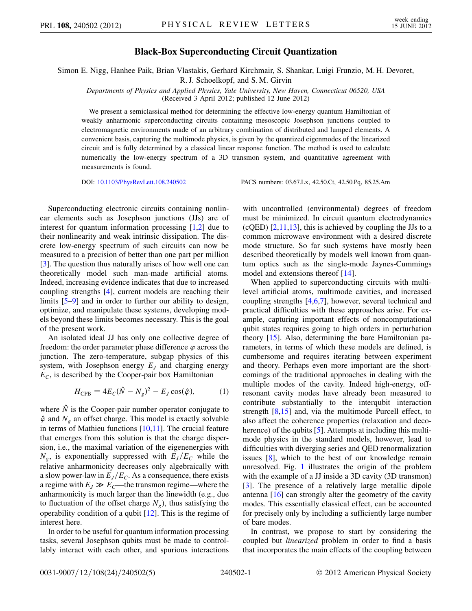## Black-Box Superconducting Circuit Quantization

Simon E. Nigg, Hanhee Paik, Brian Vlastakis, Gerhard Kirchmair, S. Shankar, Luigi Frunzio, M. H. Devoret,

R. J. Schoelkopf, and S. M. Girvin

Departments of Physics and Applied Physics, Yale University, New Haven, Connecticut 06520, USA (Received 3 April 2012; published 12 June 2012)

We present a semiclassical method for determining the effective low-energy quantum Hamiltonian of weakly anharmonic superconducting circuits containing mesoscopic Josephson junctions coupled to electromagnetic environments made of an arbitrary combination of distributed and lumped elements. A convenient basis, capturing the multimode physics, is given by the quantized eigenmodes of the linearized circuit and is fully determined by a classical linear response function. The method is used to calculate numerically the low-energy spectrum of a 3D transmon system, and quantitative agreement with measurements is found.

DOI: [10.1103/PhysRevLett.108.240502](http://dx.doi.org/10.1103/PhysRevLett.108.240502) PACS numbers: 03.67.Lx, 42.50.Ct, 42.50.Pq, 85.25.Am

Superconducting electronic circuits containing nonlinear elements such as Josephson junctions (JJs) are of interest for quantum information processing [\[1](#page-4-0)[,2](#page-4-1)] due to their nonlinearity and weak intrinsic dissipation. The discrete low-energy spectrum of such circuits can now be measured to a precision of better than one part per million [\[3\]](#page-4-2). The question thus naturally arises of how well one can theoretically model such man-made artificial atoms. Indeed, increasing evidence indicates that due to increased coupling strengths [[4\]](#page-4-3), current models are reaching their limits [\[5](#page-4-4)–[9\]](#page-4-5) and in order to further our ability to design, optimize, and manipulate these systems, developing models beyond these limits becomes necessary. This is the goal of the present work.

An isolated ideal JJ has only one collective degree of freedom: the order parameter phase difference  $\varphi$  across the junction. The zero-temperature, subgap physics of this system, with Josephson energy  $E_I$  and charging energy  $E_C$ , is described by the Cooper-pair box Hamiltonian

$$
H_{\rm CPB} = 4E_C(\hat{N} - N_g)^2 - E_J \cos(\hat{\varphi}), \tag{1}
$$

<span id="page-0-0"></span>where  $\hat{N}$  is the Cooper-pair number operator conjugate to  $\hat{\varphi}$  and  $N_g$  an offset charge. This model is exactly solvable in terms of Mathieu functions  $[10,11]$  $[10,11]$ . The crucial feature that emerges from this solution is that the charge dispersion, i.e., the maximal variation of the eigenenergies with  $N_g$ , is exponentially suppressed with  $E_J/E_C$  while the relative anharmonicity decreases only algebraically with a slow power-law in  $E_I/E_C$ . As a consequence, there exists a regime with  $E_J \gg E_C$ —the transmon regime—where the anharmonicity is much larger than the linewidth (e.g., due to fluctuation of the offset charge  $N_g$ ), thus satisfying the operability condition of a qubit [[12](#page-4-8)]. This is the regime of interest here.

In order to be useful for quantum information processing tasks, several Josephson qubits must be made to controllably interact with each other, and spurious interactions with uncontrolled (environmental) degrees of freedom must be minimized. In circuit quantum electrodynamics  $(cQED)$  [\[2](#page-4-1)[,11,](#page-4-7)[13\]](#page-4-9), this is achieved by coupling the JJs to a common microwave environment with a desired discrete mode structure. So far such systems have mostly been described theoretically by models well known from quantum optics such as the single-mode Jaynes-Cummings model and extensions thereof [[14](#page-4-10)].

When applied to superconducting circuits with multilevel artificial atoms, multimode cavities, and increased coupling strengths [[4](#page-4-3)[,6,](#page-4-11)[7](#page-4-12)], however, several technical and practical difficulties with these approaches arise. For example, capturing important effects of noncomputational qubit states requires going to high orders in perturbation theory [\[15\]](#page-4-13). Also, determining the bare Hamiltonian parameters, in terms of which these models are defined, is cumbersome and requires iterating between experiment and theory. Perhaps even more important are the shortcomings of the traditional approaches in dealing with the multiple modes of the cavity. Indeed high-energy, offresonant cavity modes have already been measured to contribute substantially to the interqubit interaction strength [\[8,](#page-4-14)[15\]](#page-4-13) and, via the multimode Purcell effect, to also affect the coherence properties (relaxation and deco-herence) of the qubits [[5](#page-4-4)]. Attempts at including this multimode physics in the standard models, however, lead to difficulties with diverging series and QED renormalization issues [\[8\]](#page-4-14), which to the best of our knowledge remain unresolved. Fig. [1](#page-1-0) illustrates the origin of the problem with the example of a JJ inside a 3D cavity (3D transmon) [\[3\]](#page-4-2). The presence of a relatively large metallic dipole antenna [\[16\]](#page-4-15) can strongly alter the geometry of the cavity modes. This essentially classical effect, can be accounted for precisely only by including a sufficiently large number of bare modes.

In contrast, we propose to start by considering the coupled but linearized problem in order to find a basis that incorporates the main effects of the coupling between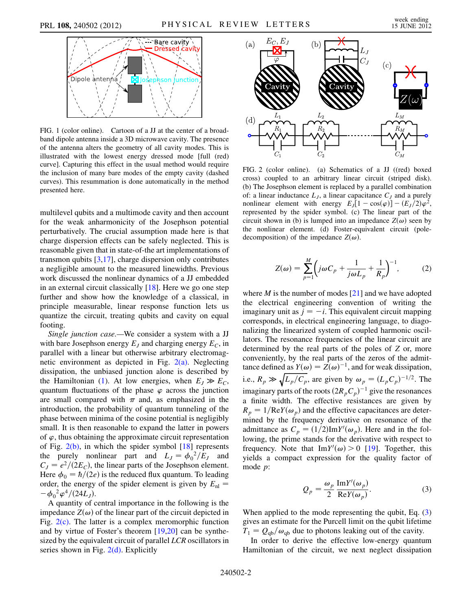<span id="page-1-0"></span>

FIG. 1 (color online). Cartoon of a JJ at the center of a broadband dipole antenna inside a 3D microwave cavity. The presence of the antenna alters the geometry of all cavity modes. This is illustrated with the lowest energy dressed mode [full (red) curve]. Capturing this effect in the usual method would require the inclusion of many bare modes of the empty cavity (dashed curves). This resummation is done automatically in the method presented here.

multilevel qubits and a multimode cavity and then account for the weak anharmonicity of the Josephson potential perturbatively. The crucial assumption made here is that charge dispersion effects can be safely neglected. This is reasonable given that in state-of-the art implementations of transmon qubits [[3](#page-4-2)[,17\]](#page-4-16), charge dispersion only contributes a negligible amount to the measured linewidths. Previous work discussed the nonlinear dynamics of a JJ embedded in an external circuit classically [[18](#page-4-17)]. Here we go one step further and show how the knowledge of a classical, in principle measurable, linear response function lets us quantize the circuit, treating qubits and cavity on equal footing.

Single junction case.—We consider a system with a JJ with bare Josephson energy  $E_J$  and charging energy  $E_C$ , in parallel with a linear but otherwise arbitrary electromagnetic environment as depicted in Fig.  $2(a)$ . Neglecting dissipation, the unbiased junction alone is described by the Hamiltonian [\(1](#page-0-0)). At low energies, when  $E_J \gg E_C$ , quantum fluctuations of the phase  $\varphi$  across the junction are small compared with  $\pi$  and, as emphasized in the introduction, the probability of quantum tunneling of the phase between minima of the cosine potential is negligibly small. It is then reasonable to expand the latter in powers of  $\varphi$ , thus obtaining the approximate circuit representation of Fig.  $2(b)$ , in which the spider symbol  $[18]$  $[18]$  $[18]$  represents the purely nonlinear part and  $L_J = \phi_0^2/E_J$  and  $C_I = e^2/(2E_C)$ , the linear parts of the Josephson element. Here  $\phi_0 = \hbar/(2e)$  is the reduced flux quantum. To leading order, the energy of the spider element is given by  $E_{nl}$  =  $-\phi_0^2 \varphi^4/(24L_J).$ 

A quantity of central importance in the following is the impedance  $Z(\omega)$  of the linear part of the circuit depicted in Fig.  $2(c)$ . The latter is a complex meromorphic function and by virtue of Foster's theorem [[19](#page-4-18),[20](#page-4-19)] can be synthesized by the equivalent circuit of parallel LCR oscillators in series shown in Fig.  $2(d)$ . Explicitly



<span id="page-1-1"></span>FIG. 2 (color online). (a) Schematics of a JJ ((red) boxed cross) coupled to an arbitrary linear circuit (striped disk). (b) The Josephson element is replaced by a parallel combination of: a linear inductance  $L_j$ , a linear capacitance  $C_j$  and a purely nonlinear element with energy  $E_J[1 - \cos(\varphi)] - (E_J/2)\varphi^2$ , represented by the spider symbol. (c) The linear part of the circuit shown in (b) is lumped into an impedance  $Z(\omega)$  seen by the nonlinear element. (d) Foster-equivalent circuit (poledecomposition) of the impedance  $Z(\omega)$ .

$$
Z(\omega) = \sum_{p=1}^{M} \left( j\omega C_p + \frac{1}{j\omega L_p} + \frac{1}{R_p} \right)^{-1}, \qquad (2)
$$

where  $M$  is the number of modes [\[21](#page-4-20)] and we have adopted the electrical engineering convention of writing the imaginary unit as  $j = -i$ . This equivalent circuit mapping corresponds, in electrical engineering language, to diagonalizing the linearized system of coupled harmonic oscillators. The resonance frequencies of the linear circuit are determined by the real parts of the poles of Z or, more conveniently, by the real parts of the zeros of the admittance defined as  $Y(\omega) = Z(\omega)^{-1}$ , and for weak dissipation, i.e.,  $R_p \gg \sqrt{L_p/C_p}$ , are given by  $\omega_p = (L_p C_p)^{-1/2}$ . The imaginary parts of the roots  $(2R_pC_p)^{-1}$  give the resonances a finite width. The effective resistances are given by  $R_p = 1/ReY(\omega_p)$  and the effective capacitances are determined by the frequency derivative on resonance of the admittance as  $C_p = (1/2) \text{Im} Y'(\omega_p)$ . Here and in the following, the prime stands for the derivative with respect to frequency. Note that  $\text{Im}Y'(\omega) > 0$  [[19](#page-4-18)]. Together, this yields a compact expression for the quality factor of mode p:

$$
Q_p = \frac{\omega_p}{2} \frac{\text{Im} Y'(\omega_p)}{\text{Re} Y(\omega_p)}.
$$
 (3)

<span id="page-1-2"></span>When applied to the mode representing the qubit, Eq.  $(3)$ gives an estimate for the Purcell limit on the qubit lifetime  $T_1 = Q_{\rm qb}/\omega_{\rm qb}$  due to photons leaking out of the cavity.

In order to derive the effective low-energy quantum Hamiltonian of the circuit, we next neglect dissipation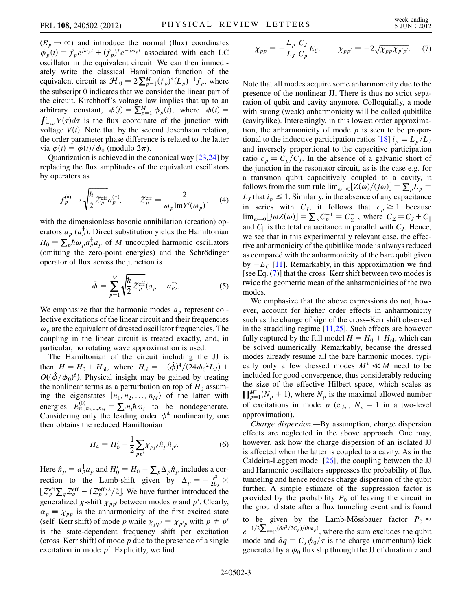$(R_p \rightarrow \infty)$  and introduce the normal (flux) coordinates  $\phi_p(t) = f_p e^{j\omega_p t} + (f_p)^* e^{-j\omega_p t}$  associated with each LC oscillator in the equivalent circuit. We can then immediately write the classical Hamiltonian function of the equivalent circuit as  $\mathcal{H}_0 = 2 \sum_{p=1}^{M} (f_p)^* (L_p)^{-1} f_p$ , where the subscript 0 indicates that we consider the linear part of the circuit. Kirchhoff's voltage law implies that up to an arbitrary constant,  $\phi(t) = \sum_{p=1}^{M} \phi_p(t)$ , where  $\phi(t) =$  $\int_{-\infty}^{t} V(\tau) d\tau$  is the flux coordinate of the junction with voltage  $V(t)$ . Note that by the second Josephson relation, the order parameter phase difference is related to the latter via  $\varphi(t) = \phi(t)/\phi_0$  (modulo  $2\pi$ ).

Quantization is achieved in the canonical way [\[23,](#page-4-21)[24](#page-4-22)] by replacing the flux amplitudes of the equivalent oscillators by operators as

$$
f_p^{(*)} \to \sqrt{\frac{\hbar}{2}} Z_p^{\text{eff}} a_p^{(\dagger)}, \qquad Z_p^{\text{eff}} = \frac{2}{\omega_p \text{Im} Y'(\omega_p)}, \quad (4)
$$

with the dimensionless bosonic annihilation (creation) operators  $a_p$  ( $a_p^{\dagger}$ ). Direct substitution yields the Hamiltonian  $H_0 = \sum_p \hbar \omega_p a_p^{\dagger} a_p$  of *M* uncoupled harmonic oscillators (omitting the zero-point energies) and the Schrödinger operator of flux across the junction is

$$
\hat{\phi} = \sum_{p=1}^{M} \sqrt{\frac{\hbar}{2} Z_p^{\text{eff}}} (a_p + a_p^{\dagger}). \tag{5}
$$

We emphasize that the harmonic modes  $a_p$  represent collective excitations of the linear circuit and their frequencies  $\omega_p$  are the equivalent of dressed oscillator frequencies. The coupling in the linear circuit is treated exactly, and, in particular, no rotating wave approximation is used.

The Hamiltonian of the circuit including the JJ is then  $H = H_0 + H_{\text{nl}}$ , where  $H_{\text{nl}} = -(\hat{\phi})^4 / (24 \phi_0^2 L_J) +$  $O((\hat{\phi}/\phi_0)^6)$ . Physical insight may be gained by treating the nonlinear terms as a perturbation on top of  $H_0$  assuming the eigenstates  $|n_1, n_2, \ldots, n_M\rangle$  of the latter with energies  $E_{n_1,n_2,...,n_M}^{(0)} = \sum_i n_i \hbar \omega_i$  to be nondegenerate. Considering only the leading order  $\phi^4$  nonlinearity, one then obtains the reduced Hamiltonian

$$
H_4 = H'_0 + \frac{1}{2} \sum_{p p'} \chi_{p p'} \hat{n}_p \hat{n}_{p'}.
$$
 (6)

Here  $\hat{n}_p = a_p^{\dagger} a_p$  and  $H_0' = H_0 + \sum_p \Delta_p \hat{n}_p$  includes a correction to the Lamb-shift given by  $\Delta_p = -\frac{e^2}{2L_J} \times$  $[\mathcal{Z}_p^{\text{eff}}\sum_q \mathcal{Z}_q^{\text{eff}} - (\mathcal{Z}_p^{\text{eff}})^2/2]$ . We have further introduced the generalized  $\chi$ -shift  $\chi_{pp'}$  between modes p and p'. Clearly,  $\alpha_p \equiv \chi_{pp}$  is the anharmonicity of the first excited state (self–Kerr shift) of mode p while  $\chi_{pp'} = \chi_{p'p}$  with  $p \neq p'$ is the state-dependent frequency shift per excitation (cross–Kerr shift) of mode  $p$  due to the presence of a single excitation in mode  $p'$ . Explicitly, we find

<span id="page-2-0"></span>
$$
\chi_{pp} = -\frac{L_p}{L_J} \frac{C_J}{C_p} E_C, \qquad \chi_{pp'} = -2\sqrt{\chi_{pp} \chi_{p'p'}}.
$$
 (7)

Note that all modes acquire some anharmonicity due to the presence of the nonlinear JJ. There is thus no strict separation of qubit and cavity anymore. Colloquially, a mode with strong (weak) anharmonicity will be called qubitlike (cavitylike). Interestingly, in this lowest order approximation, the anharmonicity of mode  $p$  is seen to be propor-tional to the inductive participation ratios [[18](#page-4-17)]  $i_p \equiv L_p/L_J$ and inversely proportional to the capacitive participation ratio  $c_p \equiv C_p/C_J$ . In the absence of a galvanic short of the junction in the resonator circuit, as is the case e.g. for a transmon qubit capacitively coupled to a cavity, it follows from the sum rule  $\lim_{\omega \to 0} [Z(\omega)/(j\omega)] = \sum_{p} L_{p}$  $L_J$  that  $i_p \leq 1$ . Similarly, in the absence of any capacitance in series with  $C_J$ , it follows that  $c_p \geq 1$  because  $\lim_{\omega \to 0} [j\omega Z(\omega)] = \sum_{p} C_p^{-1} = C_{\Sigma}^{-1}$ , where  $C_{\Sigma} = C_J + C_{\parallel}$ and  $C_{\parallel}$  is the total capacitance in parallel with  $C_J$ . Hence, we see that in this experimentally relevant case, the effective anharmonicity of the qubitlike mode is always reduced as compared with the anharmonicity of the bare qubit given by  $-E_C$  [[11](#page-4-7)]. Remarkably, in this approximation we find [see Eq. ([7\)](#page-2-0)] that the cross–Kerr shift between two modes is twice the geometric mean of the anharmonicities of the two modes.

We emphasize that the above expressions do not, however, account for higher order effects in anharmonicity such as the change of sign of the cross–Kerr shift observed in the straddling regime [[11](#page-4-7)[,25](#page-4-23)]. Such effects are however fully captured by the full model  $H = H_0 + H_{nl}$ , which can be solved numerically. Remarkably, because the dressed modes already resume all the bare harmonic modes, typically only a few dressed modes  $M^* \ll M$  need to be included for good convergence, thus considerably reducing the size of the effective Hilbert space, which scales as  $\prod_{p=1}^{M^*} (N_p + 1)$ , where  $N_p$  is the maximal allowed number of excitations in mode p (e.g.,  $N_p = 1$  in a two-level approximation).

Charge dispersion.—By assumption, charge dispersion effects are neglected in the above approach. One may, however, ask how the charge dispersion of an isolated JJ is affected when the latter is coupled to a cavity. As in the Caldeira-Leggett model [\[26\]](#page-4-24), the coupling between the JJ and Harmonic oscillators suppresses the probability of flux tunneling and hence reduces charge dispersion of the qubit further. A simple estimate of the suppression factor is provided by the probability  $P_0$  of leaving the circuit in the ground state after a flux tunneling event and is found to be given by the Lamb-Mössbauer factor  $P_0 \approx$  $e^{-1/2\sum_{p\neq qb}(\delta q^2/2C_p)/(h\omega_p)}$ , where the sum excludes the qubit mode and  $\delta q = C_J \phi_0 / \tau$  is the charge (momentum) kick generated by a  $\phi_0$  flux slip through the JJ of duration  $\tau$  and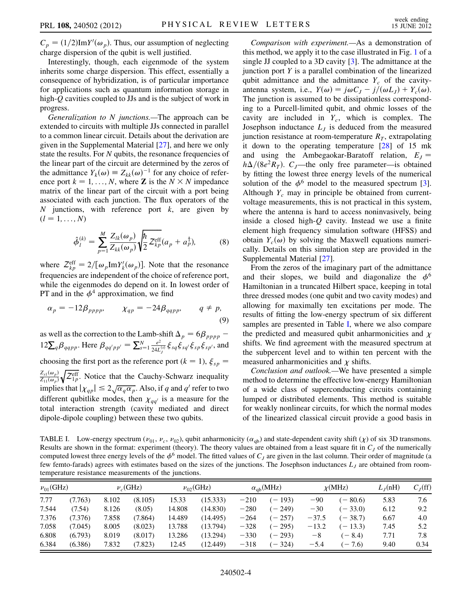$C_p = (1/2) \text{Im} Y'(\omega_p)$ . Thus, our assumption of neglecting charge dispersion of the qubit is well justified.

Interestingly, though, each eigenmode of the system inherits some charge dispersion. This effect, essentially a consequence of hybridization, is of particular importance for applications such as quantum information storage in high-Q cavities coupled to JJs and is the subject of work in progress.

Generalization to N junctions.—The approach can be extended to circuits with multiple JJs connected in parallel to a common linear circuit. Details about the derivation are given in the Supplemental Material [\[27\]](#page-4-25), and here we only state the results. For N qubits, the resonance frequencies of the linear part of the circuit are determined by the zeros of the admittance  $Y_k(\omega) \equiv Z_{kk}(\omega)^{-1}$  for any choice of reference port  $k = 1, ..., N$ , where **Z** is the  $N \times N$  impedance matrix of the linear part of the circuit with a port being associated with each junction. The flux operators of the N junctions, with reference port  $k$ , are given by  $(l = 1, \ldots, N)$ 

$$
\hat{\phi}_l^{(k)} = \sum_{p=1}^M \frac{Z_{lk}(\omega_p)}{Z_{kk}(\omega_p)} \sqrt{\frac{\hbar}{2} Z_{kp}^{\text{eff}}}(a_p + a_p^{\dagger}),\tag{8}
$$

where  $Z_{kp}^{\text{eff}} = 2/[\omega_p \text{Im} Y_k'(\omega_p)]$ . Note that the resonance frequencies are independent of the choice of reference port, while the eigenmodes do depend on it. In lowest order of PT and in the  $\phi^4$  approximation, we find

$$
\alpha_p = -12\beta_{pppp}, \qquad \chi_{qp} = -24\beta_{qapp}, \qquad q \neq p,\tag{9}
$$

as well as the correction to the Lamb-shift  $\Delta_p = 6\beta_{pppp}$  –  $12\sum_q \beta_{qqpp}$ . Here  $\beta_{qq'pp'} = \sum_{s=1}^N \frac{e^2}{24L_s^{(s)}} \xi_{sq} \xi_{sq'} \xi_{sp} \xi_{sp'}$ , and choosing the first port as the reference port ( $k = 1$ ),  $\xi_{sp} =$  $Z_{s1}(\omega_p)$  $\frac{Z_{s1}(\omega_p)}{Z_{11}(\omega_p)}\sqrt{Z_{1p}^{\text{eff}}}$ . Notice that the Cauchy-Schwarz inequality implies that  $|\chi_{qp}| \leq 2\sqrt{\alpha_q \alpha_p}$ . Also, if q and q' refer to two different qubitlike modes, then  $\chi_{qq'}$  is a measure for the total interaction strength (cavity mediated and direct dipole-dipole coupling) between these two qubits.

Comparison with experiment.—As a demonstration of this method, we apply it to the case illustrated in Fig. [1](#page-1-0) of a single JJ coupled to a 3D cavity [[3](#page-4-2)]. The admittance at the junction port  $Y$  is a parallel combination of the linearized qubit admittance and the admittance  $Y_c$  of the cavityantenna system, i.e.,  $Y(\omega) = j\omega C_J - j/(\omega L_J) + Y_c(\omega)$ . The junction is assumed to be dissipationless corresponding to a Purcell-limited qubit, and ohmic losses of the cavity are included in  $Y_c$ , which is complex. The Josephson inductance  $L<sub>J</sub>$  is deduced from the measured junction resistance at room-temperature  $R<sub>T</sub>$ , extrapolating it down to the operating temperature [\[28\]](#page-4-26) of 15 mk and using the Ambegaokar-Baratoff relation,  $E_I$  =  $h\Delta/(8e^2R_T)$ . C<sub>J</sub>—the only free parameter—is obtained by fitting the lowest three energy levels of the numerical solution of the  $\phi^6$  model to the measured spectrum [[3\]](#page-4-2). Although  $Y_c$  may in principle be obtained from currentvoltage measurements, this is not practical in this system, where the antenna is hard to access noninvasively, being inside a closed high- $Q$  cavity. Instead we use a finite element high frequency simulation software (HFSS) and obtain  $Y_c(\omega)$  by solving the Maxwell equations numerically. Details on this simulation step are provided in the Supplemental Material [[27](#page-4-25)].

From the zeros of the imaginary part of the admittance and their slopes, we build and diagonalize the  $\phi^6$ Hamiltonian in a truncated Hilbert space, keeping in total three dressed modes (one qubit and two cavity modes) and allowing for maximally ten excitations per mode. The results of fitting the low-energy spectrum of six different samples are presented in Table [I](#page-3-0), where we also compare the predicted and measured qubit anharmonicities and  $\chi$ shifts. We find agreement with the measured spectrum at the subpercent level and to within ten percent with the measured anharmonicities and  $\chi$  shifts.

Conclusion and outlook.—We have presented a simple method to determine the effective low-energy Hamiltonian of a wide class of superconducting circuits containing lumped or distributed elements. This method is suitable for weakly nonlinear circuits, for which the normal modes of the linearized classical circuit provide a good basis in

<span id="page-3-0"></span>TABLE I. Low-energy spectrum ( $\nu_{01}$ ,  $\nu_c$ ,  $\nu_{02}$ ), qubit anharmonicity ( $\alpha_{ab}$ ) and state-dependent cavity shift ( $\chi$ ) of six 3D transmons. Results are shown in the format: experiment (theory). The theory values are obtained from a least square fit in  $C_j$  of the numerically computed lowest three energy levels of the  $\phi^6$  model. The fitted values of  $C_J$  are given in the last column. Their order of magnitude (a few femto-farads) agrees with estimates based on the sizes of the junctions. The Josephson inductances  $L_j$  are obtained from roomtemperature resistance measurements of the junctions.

| $\nu_{01}$ (GHz) |         | $\nu_c$ (GHz) |         | $\nu_{02}$ (GHz) |          | $\alpha_{ab}$ (MHz) |          | $\chi(MHz)$ |           | $L_I(nH)$ | $C_J(ff)$ |
|------------------|---------|---------------|---------|------------------|----------|---------------------|----------|-------------|-----------|-----------|-----------|
| 7.77             | (7.763) | 8.102         | (8.105) | 15.33            | (15.333) | $-210$              | $(-193)$ | $-90$       | $-80.6$   | 5.83      | 7.6       |
| 7.544            | (7.54)  | 8.126         | (8.05)  | 14.808           | (14.830) | $-280$              | $(-249)$ | $-30$       | $(-33.0)$ | 6.12      | 9.2       |
| 7.376            | (7.376) | 7.858         | (7.864) | 14.489           | (14.495) | $-264$              | $(-257)$ | $-37.5$     | $(-38.7)$ | 6.67      | 4.0       |
| 7.058            | (7.045) | 8.005         | (8.023) | 13.788           | (13.794) | $-328$              | $(-295)$ | $-13.2$     | $-13.3$   | 7.45      | 5.2       |
| 6.808            | (6.793) | 8.019         | (8.017) | 13.286           | (13.294) | $-330$              | $(-293)$ | $-8$        | $-8.4$    | 7.71      | 7.8       |
| 6.384            | (6.386) | 7.832         | (7.823) | 12.45            | (12.449) | $-318$              | $(-324)$ | $-5.4$      | $-7.6$    | 9.40      | 0.34      |